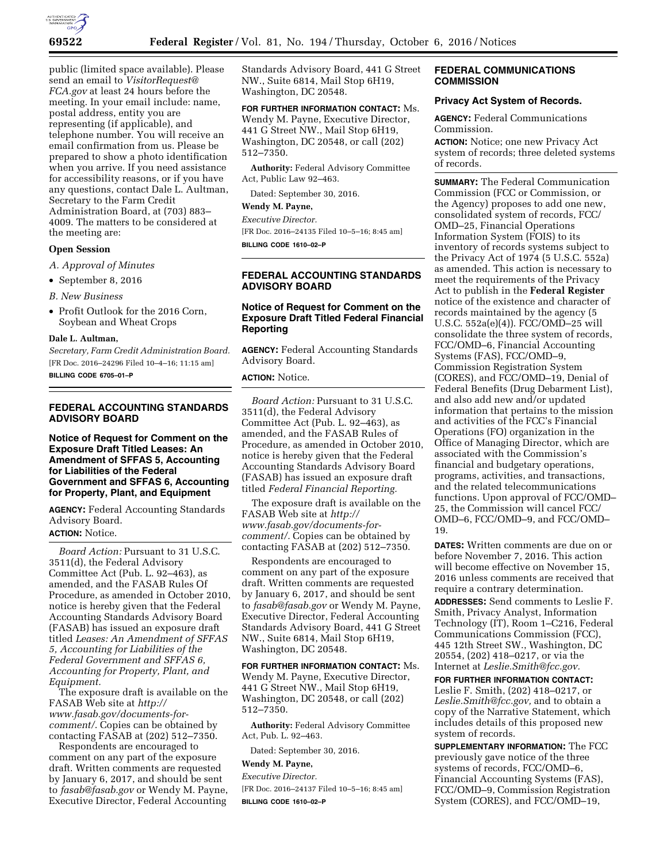

public (limited space available). Please send an email to *VisitorRequest@ FCA.gov* at least 24 hours before the meeting. In your email include: name, postal address, entity you are representing (if applicable), and telephone number. You will receive an email confirmation from us. Please be prepared to show a photo identification when you arrive. If you need assistance for accessibility reasons, or if you have any questions, contact Dale L. Aultman, Secretary to the Farm Credit Administration Board, at (703) 883– 4009. The matters to be considered at the meeting are:

# **Open Session**

*A. Approval of Minutes* 

- September 8, 2016
- *B. New Business*
- Profit Outlook for the 2016 Corn, Soybean and Wheat Crops

#### **Dale L. Aultman,**

*Secretary, Farm Credit Administration Board.*  [FR Doc. 2016–24296 Filed 10–4–16; 11:15 am] **BILLING CODE 6705–01–P** 

# **FEDERAL ACCOUNTING STANDARDS ADVISORY BOARD**

**Notice of Request for Comment on the Exposure Draft Titled Leases: An Amendment of SFFAS 5, Accounting for Liabilities of the Federal Government and SFFAS 6, Accounting for Property, Plant, and Equipment** 

**AGENCY:** Federal Accounting Standards Advisory Board. **ACTION:** Notice.

*Board Action:* Pursuant to 31 U.S.C. 3511(d), the Federal Advisory Committee Act (Pub. L. 92–463), as amended, and the FASAB Rules Of Procedure, as amended in October 2010, notice is hereby given that the Federal Accounting Standards Advisory Board (FASAB) has issued an exposure draft titled *Leases: An Amendment of SFFAS 5, Accounting for Liabilities of the Federal Government and SFFAS 6, Accounting for Property, Plant, and Equipment.* 

The exposure draft is available on the FASAB Web site at *http:// www.fasab.gov/documents-forcomment/*. Copies can be obtained by contacting FASAB at (202) 512–7350.

Respondents are encouraged to comment on any part of the exposure draft. Written comments are requested by January 6, 2017, and should be sent to *fasab@fasab.gov* or Wendy M. Payne, Executive Director, Federal Accounting

Standards Advisory Board, 441 G Street NW., Suite 6814, Mail Stop 6H19, Washington, DC 20548.

#### **FOR FURTHER INFORMATION CONTACT:** Ms.

Wendy M. Payne, Executive Director, 441 G Street NW., Mail Stop 6H19, Washington, DC 20548, or call (202) 512–7350.

**Authority:** Federal Advisory Committee Act, Public Law 92–463.

Dated: September 30, 2016.

# **Wendy M. Payne,**

*Executive Director.*  [FR Doc. 2016–24135 Filed 10–5–16; 8:45 am]

**BILLING CODE 1610–02–P** 

# **FEDERAL ACCOUNTING STANDARDS ADVISORY BOARD**

# **Notice of Request for Comment on the Exposure Draft Titled Federal Financial Reporting**

**AGENCY:** Federal Accounting Standards Advisory Board.

# **ACTION:** Notice.

*Board Action:* Pursuant to 31 U.S.C. 3511(d), the Federal Advisory Committee Act (Pub. L. 92–463), as amended, and the FASAB Rules of Procedure, as amended in October 2010, notice is hereby given that the Federal Accounting Standards Advisory Board (FASAB) has issued an exposure draft titled *Federal Financial Reporting.* 

The exposure draft is available on the FASAB Web site at *http:// www.fasab.gov/documents-forcomment/.* Copies can be obtained by contacting FASAB at (202) 512–7350.

Respondents are encouraged to comment on any part of the exposure draft. Written comments are requested by January 6, 2017, and should be sent to *fasab@fasab.gov* or Wendy M. Payne, Executive Director, Federal Accounting Standards Advisory Board, 441 G Street NW., Suite 6814, Mail Stop 6H19, Washington, DC 20548.

## **FOR FURTHER INFORMATION CONTACT:** Ms.

Wendy M. Payne, Executive Director, 441 G Street NW., Mail Stop 6H19, Washington, DC 20548, or call (202) 512–7350.

**Authority:** Federal Advisory Committee Act, Pub. L. 92–463.

Dated: September 30, 2016.

#### **Wendy M. Payne,**

*Executive Director.*  [FR Doc. 2016–24137 Filed 10–5–16; 8:45 am] **BILLING CODE 1610–02–P** 

# **FEDERAL COMMUNICATIONS COMMISSION**

# **Privacy Act System of Records.**

**AGENCY:** Federal Communications Commission.

**ACTION:** Notice; one new Privacy Act system of records; three deleted systems of records.

**SUMMARY:** The Federal Communication Commission (FCC or Commission, or the Agency) proposes to add one new, consolidated system of records, FCC/ OMD–25, Financial Operations Information System (FOIS) to its inventory of records systems subject to the Privacy Act of 1974 (5 U.S.C. 552a) as amended. This action is necessary to meet the requirements of the Privacy Act to publish in the **Federal Register**  notice of the existence and character of records maintained by the agency (5 U.S.C. 552a(e)(4)). FCC/OMD–25 will consolidate the three system of records, FCC/OMD–6, Financial Accounting Systems (FAS), FCC/OMD–9, Commission Registration System (CORES), and FCC/OMD–19, Denial of Federal Benefits (Drug Debarment List), and also add new and/or updated information that pertains to the mission and activities of the FCC's Financial Operations (FO) organization in the Office of Managing Director, which are associated with the Commission's financial and budgetary operations, programs, activities, and transactions, and the related telecommunications functions. Upon approval of FCC/OMD– 25, the Commission will cancel FCC/ OMD–6, FCC/OMD–9, and FCC/OMD– 19.

**DATES:** Written comments are due on or before November 7, 2016. This action will become effective on November 15, 2016 unless comments are received that require a contrary determination.

**ADDRESSES:** Send comments to Leslie F. Smith, Privacy Analyst, Information Technology (IT), Room 1–C216, Federal Communications Commission (FCC), 445 12th Street SW., Washington, DC 20554, (202) 418–0217, or via the Internet at *Leslie.Smith@fcc.gov.* 

**FOR FURTHER INFORMATION CONTACT:**  Leslie F. Smith, (202) 418–0217, or *Leslie.Smith@fcc.gov,* and to obtain a copy of the Narrative Statement, which includes details of this proposed new system of records.

**SUPPLEMENTARY INFORMATION:** The FCC previously gave notice of the three systems of records, FCC/OMD–6, Financial Accounting Systems (FAS), FCC/OMD–9, Commission Registration System (CORES), and FCC/OMD–19,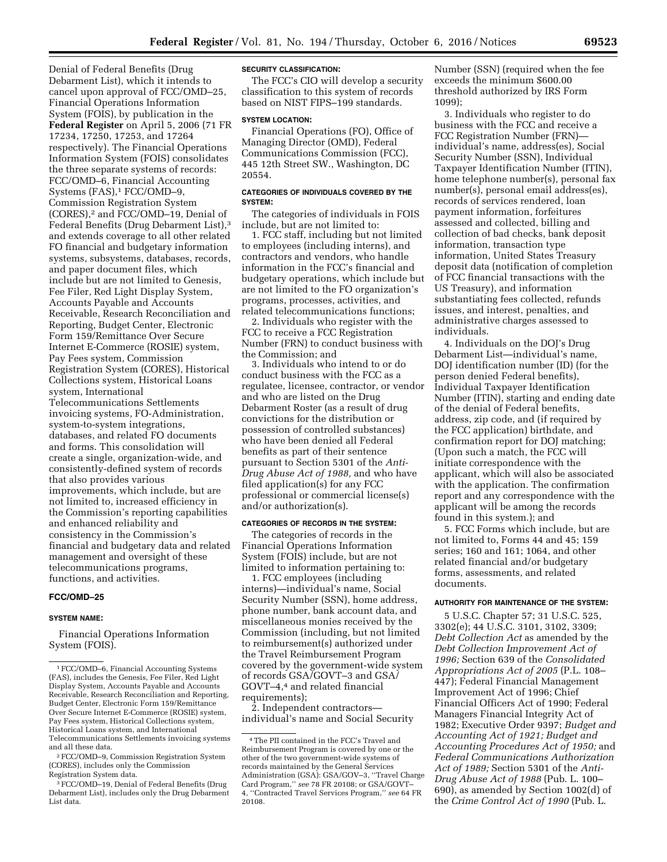Denial of Federal Benefits (Drug Debarment List), which it intends to cancel upon approval of FCC/OMD–25, Financial Operations Information System (FOIS), by publication in the **Federal Register** on April 5, 2006 (71 FR 17234, 17250, 17253, and 17264 respectively). The Financial Operations Information System (FOIS) consolidates the three separate systems of records: FCC/OMD–6, Financial Accounting Systems (FAS),<sup>1</sup> FCC/OMD-9, Commission Registration System (CORES),2 and FCC/OMD–19, Denial of Federal Benefits (Drug Debarment List),3 and extends coverage to all other related FO financial and budgetary information systems, subsystems, databases, records, and paper document files, which include but are not limited to Genesis, Fee Filer, Red Light Display System, Accounts Payable and Accounts Receivable, Research Reconciliation and Reporting, Budget Center, Electronic Form 159/Remittance Over Secure Internet E-Commerce (ROSIE) system, Pay Fees system, Commission Registration System (CORES), Historical Collections system, Historical Loans system, International Telecommunications Settlements invoicing systems, FO-Administration, system-to-system integrations, databases, and related FO documents and forms. This consolidation will create a single, organization-wide, and consistently-defined system of records that also provides various improvements, which include, but are not limited to, increased efficiency in the Commission's reporting capabilities and enhanced reliability and consistency in the Commission's financial and budgetary data and related management and oversight of these telecommunications programs, functions, and activities.

## **FCC/OMD–25**

## **SYSTEM NAME:**

Financial Operations Information System (FOIS).

# **SECURITY CLASSIFICATION:**

The FCC's CIO will develop a security classification to this system of records based on NIST FIPS–199 standards.

#### **SYSTEM LOCATION:**

Financial Operations (FO), Office of Managing Director (OMD), Federal Communications Commission (FCC), 445 12th Street SW., Washington, DC 20554.

## **CATEGORIES OF INDIVIDUALS COVERED BY THE SYSTEM:**

The categories of individuals in FOIS include, but are not limited to:

1. FCC staff, including but not limited to employees (including interns), and contractors and vendors, who handle information in the FCC's financial and budgetary operations, which include but are not limited to the FO organization's programs, processes, activities, and related telecommunications functions;

2. Individuals who register with the FCC to receive a FCC Registration Number (FRN) to conduct business with the Commission; and

3. Individuals who intend to or do conduct business with the FCC as a regulatee, licensee, contractor, or vendor and who are listed on the Drug Debarment Roster (as a result of drug convictions for the distribution or possession of controlled substances) who have been denied all Federal benefits as part of their sentence pursuant to Section 5301 of the *Anti-Drug Abuse Act of 1988,* and who have filed application(s) for any FCC professional or commercial license(s) and/or authorization(s).

# **CATEGORIES OF RECORDS IN THE SYSTEM:**

The categories of records in the Financial Operations Information System (FOIS) include, but are not limited to information pertaining to:

1. FCC employees (including interns)—individual's name, Social Security Number (SSN), home address, phone number, bank account data, and miscellaneous monies received by the Commission (including, but not limited to reimbursement(s) authorized under the Travel Reimbursement Program covered by the government-wide system of records GSA/GOVT–3 and GSA/ GOVT–4,4 and related financial requirements);

2. Independent contractors individual's name and Social Security Number (SSN) (required when the fee exceeds the minimum \$600.00 threshold authorized by IRS Form 1099);

3. Individuals who register to do business with the FCC and receive a FCC Registration Number (FRN) individual's name, address(es), Social Security Number (SSN), Individual Taxpayer Identification Number (ITIN), home telephone number(s), personal fax number(s), personal email address(es), records of services rendered, loan payment information, forfeitures assessed and collected, billing and collection of bad checks, bank deposit information, transaction type information, United States Treasury deposit data (notification of completion of FCC financial transactions with the US Treasury), and information substantiating fees collected, refunds issues, and interest, penalties, and administrative charges assessed to individuals.

4. Individuals on the DOJ's Drug Debarment List—individual's name, DOJ identification number (ID) (for the person denied Federal benefits), Individual Taxpayer Identification Number (ITIN), starting and ending date of the denial of Federal benefits, address, zip code, and (if required by the FCC application) birthdate, and confirmation report for DOJ matching; (Upon such a match, the FCC will initiate correspondence with the applicant, which will also be associated with the application. The confirmation report and any correspondence with the applicant will be among the records found in this system.); and

5. FCC Forms which include, but are not limited to, Forms 44 and 45; 159 series; 160 and 161; 1064, and other related financial and/or budgetary forms, assessments, and related documents.

## **AUTHORITY FOR MAINTENANCE OF THE SYSTEM:**

5 U.S.C. Chapter 57; 31 U.S.C. 525, 3302(e); 44 U.S.C. 3101, 3102, 3309; *Debt Collection Act* as amended by the *Debt Collection Improvement Act of 1996;* Section 639 of the *Consolidated Appropriations Act of 2005* (P.L. 108– 447); Federal Financial Management Improvement Act of 1996; Chief Financial Officers Act of 1990; Federal Managers Financial Integrity Act of 1982; Executive Order 9397; *Budget and Accounting Act of 1921; Budget and Accounting Procedures Act of 1950;* and *Federal Communications Authorization Act of 1989;* Section 5301 of the *Anti-Drug Abuse Act of 1988* (Pub. L. 100– 690), as amended by Section 1002(d) of the *Crime Control Act of 1990* (Pub. L.

<sup>1</sup>FCC/OMD–6, Financial Accounting Systems (FAS), includes the Genesis, Fee Filer, Red Light Display System, Accounts Payable and Accounts Receivable, Research Reconciliation and Reporting, Budget Center, Electronic Form 159/Remittance Over Secure Internet E-Commerce (ROSIE) system, Pay Fees system, Historical Collections system, Historical Loans system, and International Telecommunications Settlements invoicing systems and all these data.

<sup>2</sup>FCC/OMD–9, Commission Registration System (CORES), includes only the Commission Registration System data.

<sup>3</sup>FCC/OMD–19, Denial of Federal Benefits (Drug Debarment List), includes only the Drug Debarment List data.

<sup>4</sup>The PII contained in the FCC's Travel and Reimbursement Program is covered by one or the other of the two government-wide systems of records maintained by the General Services Administration (GSA): GSA/GOV–3, ''Travel Charge Card Program,'' *see* 78 FR 20108; or GSA/GOVT– 4, ''Contracted Travel Services Program,'' *see* 64 FR 20108.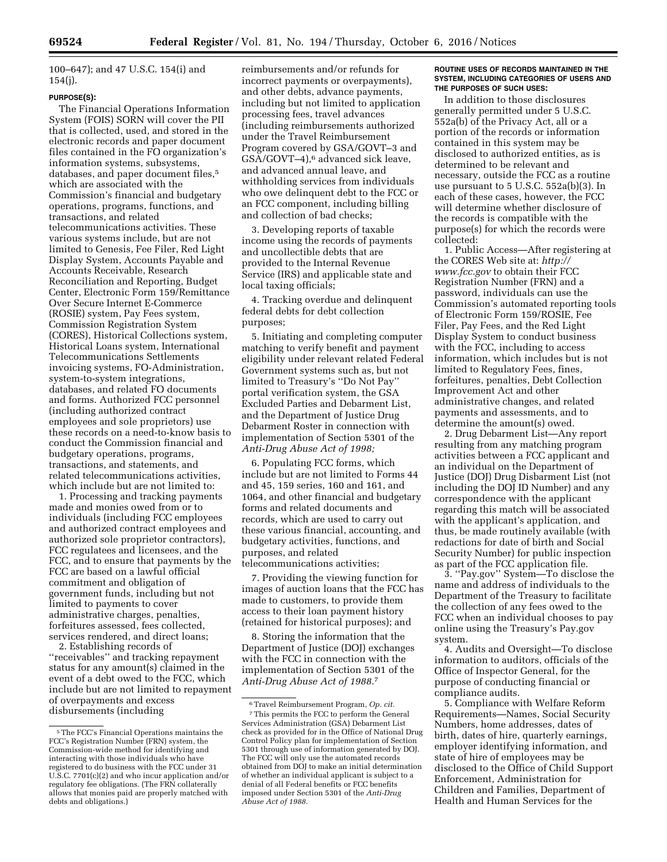100–647); and 47 U.S.C. 154(i) and 154(j).

## **PURPOSE(S):**

The Financial Operations Information System (FOIS) SORN will cover the PII that is collected, used, and stored in the electronic records and paper document files contained in the FO organization's information systems, subsystems, databases, and paper document files,<sup>5</sup> which are associated with the Commission's financial and budgetary operations, programs, functions, and transactions, and related telecommunications activities. These various systems include, but are not limited to Genesis, Fee Filer, Red Light Display System, Accounts Payable and Accounts Receivable, Research Reconciliation and Reporting, Budget Center, Electronic Form 159/Remittance Over Secure Internet E-Commerce (ROSIE) system, Pay Fees system, Commission Registration System (CORES), Historical Collections system, Historical Loans system, International Telecommunications Settlements invoicing systems, FO-Administration, system-to-system integrations, databases, and related FO documents and forms. Authorized FCC personnel (including authorized contract employees and sole proprietors) use these records on a need-to-know basis to conduct the Commission financial and budgetary operations, programs, transactions, and statements, and related telecommunications activities, which include but are not limited to:

1. Processing and tracking payments made and monies owed from or to individuals (including FCC employees and authorized contract employees and authorized sole proprietor contractors), FCC regulatees and licensees, and the FCC, and to ensure that payments by the FCC are based on a lawful official commitment and obligation of government funds, including but not limited to payments to cover administrative charges, penalties, forfeitures assessed, fees collected, services rendered, and direct loans;

2. Establishing records of ''receivables'' and tracking repayment status for any amount(s) claimed in the event of a debt owed to the FCC, which include but are not limited to repayment of overpayments and excess disbursements (including

reimbursements and/or refunds for incorrect payments or overpayments), and other debts, advance payments, including but not limited to application processing fees, travel advances (including reimbursements authorized under the Travel Reimbursement Program covered by GSA/GOVT–3 and GSA/GOVT–4),6 advanced sick leave, and advanced annual leave, and withholding services from individuals who owe delinquent debt to the FCC or an FCC component, including billing and collection of bad checks;

3. Developing reports of taxable income using the records of payments and uncollectible debts that are provided to the Internal Revenue Service (IRS) and applicable state and local taxing officials;

4. Tracking overdue and delinquent federal debts for debt collection purposes;

5. Initiating and completing computer matching to verify benefit and payment eligibility under relevant related Federal Government systems such as, but not limited to Treasury's ''Do Not Pay'' portal verification system, the GSA Excluded Parties and Debarment List, and the Department of Justice Drug Debarment Roster in connection with implementation of Section 5301 of the *Anti-Drug Abuse Act of 1998;* 

6. Populating FCC forms, which include but are not limited to Forms 44 and 45, 159 series, 160 and 161, and 1064, and other financial and budgetary forms and related documents and records, which are used to carry out these various financial, accounting, and budgetary activities, functions, and purposes, and related telecommunications activities;

7. Providing the viewing function for images of auction loans that the FCC has made to customers, to provide them access to their loan payment history (retained for historical purposes); and

8. Storing the information that the Department of Justice (DOJ) exchanges with the FCC in connection with the implementation of Section 5301 of the *Anti-Drug Abuse Act of 1988.*7

## **ROUTINE USES OF RECORDS MAINTAINED IN THE SYSTEM, INCLUDING CATEGORIES OF USERS AND THE PURPOSES OF SUCH USES:**

In addition to those disclosures generally permitted under 5 U.S.C. 552a(b) of the Privacy Act, all or a portion of the records or information contained in this system may be disclosed to authorized entities, as is determined to be relevant and necessary, outside the FCC as a routine use pursuant to 5 U.S.C. 552a(b)(3). In each of these cases, however, the FCC will determine whether disclosure of the records is compatible with the purpose(s) for which the records were collected:

1. Public Access—After registering at the CORES Web site at: *http:// www.fcc.gov* to obtain their FCC Registration Number (FRN) and a password, individuals can use the Commission's automated reporting tools of Electronic Form 159/ROSIE, Fee Filer, Pay Fees, and the Red Light Display System to conduct business with the FCC, including to access information, which includes but is not limited to Regulatory Fees, fines, forfeitures, penalties, Debt Collection Improvement Act and other administrative changes, and related payments and assessments, and to determine the amount(s) owed.

2. Drug Debarment List—Any report resulting from any matching program activities between a FCC applicant and an individual on the Department of Justice (DOJ) Drug Disbarment List (not including the DOJ ID Number) and any correspondence with the applicant regarding this match will be associated with the applicant's application, and thus, be made routinely available (with redactions for date of birth and Social Security Number) for public inspection as part of the FCC application file.

3. ''Pay.gov'' System—To disclose the name and address of individuals to the Department of the Treasury to facilitate the collection of any fees owed to the FCC when an individual chooses to pay online using the Treasury's Pay.gov system.

4. Audits and Oversight—To disclose information to auditors, officials of the Office of Inspector General, for the purpose of conducting financial or compliance audits.

5. Compliance with Welfare Reform Requirements—Names, Social Security Numbers, home addresses, dates of birth, dates of hire, quarterly earnings, employer identifying information, and state of hire of employees may be disclosed to the Office of Child Support Enforcement, Administration for Children and Families, Department of Health and Human Services for the

<sup>5</sup>The FCC's Financial Operations maintains the FCC's Registration Number (FRN) system, the Commission-wide method for identifying and interacting with those individuals who have registered to do business with the FCC under 31 U.S.C. 7701(c)(2) and who incur application and/or regulatory fee obligations. (The FRN collaterally allows that monies paid are properly matched with debts and obligations.)

<sup>6</sup>Travel Reimbursement Program, *Op. cit.*  7This permits the FCC to perform the General Services Administration (GSA) Debarment List check as provided for in the Office of National Drug Control Policy plan for implementation of Section 5301 through use of information generated by DOJ. The FCC will only use the automated records obtained from DOJ to make an initial determination of whether an individual applicant is subject to a denial of all Federal benefits or FCC benefits imposed under Section 5301 of the *Anti-Drug Abuse Act of 1988.*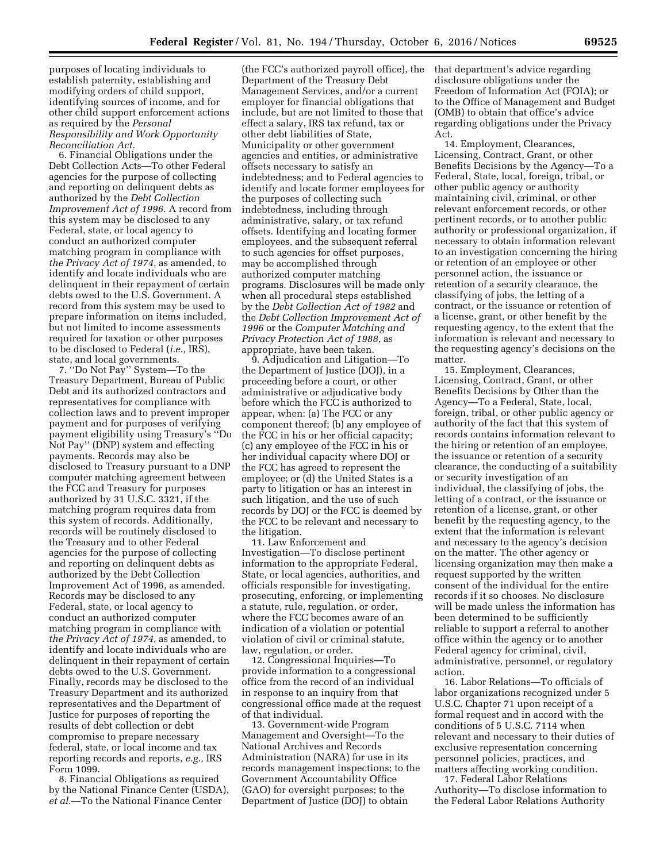purposes of locating individuals to establish paternity, establishing and modifying orders of child support, identifying sources of income, and for other child support enforcement actions as required by the *Personal Responsibility and Work Opportunity Reconciliation Act.* 

6. Financial Obligations under the Debt Collection Acts—To other Federal agencies for the purpose of collecting and reporting on delinquent debts as authorized by the *Debt Collection Improvement Act of 1996.* A record from this system may be disclosed to any Federal, state, or local agency to conduct an authorized computer matching program in compliance with *the Privacy Act of 1974,* as amended, to identify and locate individuals who are delinquent in their repayment of certain debts owed to the U.S. Government. A record from this system may be used to prepare information on items included, but not limited to income assessments required for taxation or other purposes to be disclosed to Federal (*i.e.,* IRS), state, and local governments.

7. ''Do Not Pay'' System—To the Treasury Department, Bureau of Public Debt and its authorized contractors and representatives for compliance with collection laws and to prevent improper payment and for purposes of verifying payment eligibility using Treasury's ''Do Not Pay'' (DNP) system and effecting payments. Records may also be disclosed to Treasury pursuant to a DNP computer matching agreement between the FCC and Treasury for purposes authorized by 31 U.S.C. 3321, if the matching program requires data from this system of records. Additionally, records will be routinely disclosed to the Treasury and to other Federal agencies for the purpose of collecting and reporting on delinquent debts as authorized by the Debt Collection Improvement Act of 1996, as amended. Records may be disclosed to any Federal, state, or local agency to conduct an authorized computer matching program in compliance with *the Privacy Act of 1974,* as amended, to identify and locate individuals who are delinquent in their repayment of certain debts owed to the U.S. Government. Finally, records may be disclosed to the Treasury Department and its authorized representatives and the Department of Justice for purposes of reporting the results of debt collection or debt compromise to prepare necessary federal, state, or local income and tax reporting records and reports, *e.g.,* IRS Form 1099.

8. Financial Obligations as required by the National Finance Center (USDA), *et al.*—To the National Finance Center

(the FCC's authorized payroll office), the Department of the Treasury Debt Management Services, and/or a current employer for financial obligations that include, but are not limited to those that effect a salary, IRS tax refund, tax or other debt liabilities of State, Municipality or other government agencies and entities, or administrative offsets necessary to satisfy an indebtedness; and to Federal agencies to identify and locate former employees for the purposes of collecting such indebtedness, including through administrative, salary, or tax refund offsets. Identifying and locating former employees, and the subsequent referral to such agencies for offset purposes, may be accomplished through authorized computer matching programs. Disclosures will be made only when all procedural steps established by the *Debt Collection Act of 1982* and the *Debt Collection Improvement Act of 1996* or the *Computer Matching and Privacy Protection Act of 1988,* as appropriate, have been taken.

9. Adjudication and Litigation—To the Department of Justice (DOJ), in a proceeding before a court, or other administrative or adjudicative body before which the FCC is authorized to appear, when: (a) The FCC or any component thereof; (b) any employee of the FCC in his or her official capacity; (c) any employee of the FCC in his or her individual capacity where DOJ or the FCC has agreed to represent the employee; or (d) the United States is a party to litigation or has an interest in such litigation, and the use of such records by DOJ or the FCC is deemed by the FCC to be relevant and necessary to the litigation.

11. Law Enforcement and Investigation—To disclose pertinent information to the appropriate Federal, State, or local agencies, authorities, and officials responsible for investigating, prosecuting, enforcing, or implementing a statute, rule, regulation, or order, where the FCC becomes aware of an indication of a violation or potential violation of civil or criminal statute, law, regulation, or order.

12. Congressional Inquiries—To provide information to a congressional office from the record of an individual in response to an inquiry from that congressional office made at the request of that individual.

13. Government-wide Program Management and Oversight—To the National Archives and Records Administration (NARA) for use in its records management inspections; to the Government Accountability Office (GAO) for oversight purposes; to the Department of Justice (DOJ) to obtain

that department's advice regarding disclosure obligations under the Freedom of Information Act (FOIA); or to the Office of Management and Budget (OMB) to obtain that office's advice regarding obligations under the Privacy Act.

14. Employment, Clearances, Licensing, Contract, Grant, or other Benefits Decisions by the Agency—To a Federal, State, local, foreign, tribal, or other public agency or authority maintaining civil, criminal, or other relevant enforcement records, or other pertinent records, or to another public authority or professional organization, if necessary to obtain information relevant to an investigation concerning the hiring or retention of an employee or other personnel action, the issuance or retention of a security clearance, the classifying of jobs, the letting of a contract, or the issuance or retention of a license, grant, or other benefit by the requesting agency, to the extent that the information is relevant and necessary to the requesting agency's decisions on the matter.

15. Employment, Clearances, Licensing, Contract, Grant, or other Benefits Decisions by Other than the Agency—To a Federal, State, local, foreign, tribal, or other public agency or authority of the fact that this system of records contains information relevant to the hiring or retention of an employee, the issuance or retention of a security clearance, the conducting of a suitability or security investigation of an individual, the classifying of jobs, the letting of a contract, or the issuance or retention of a license, grant, or other benefit by the requesting agency, to the extent that the information is relevant and necessary to the agency's decision on the matter. The other agency or licensing organization may then make a request supported by the written consent of the individual for the entire records if it so chooses. No disclosure will be made unless the information has been determined to be sufficiently reliable to support a referral to another office within the agency or to another Federal agency for criminal, civil, administrative, personnel, or regulatory action.

16. Labor Relations—To officials of labor organizations recognized under 5 U.S.C. Chapter 71 upon receipt of a formal request and in accord with the conditions of 5 U.S.C. 7114 when relevant and necessary to their duties of exclusive representation concerning personnel policies, practices, and matters affecting working condition.

17. Federal Labor Relations Authority—To disclose information to the Federal Labor Relations Authority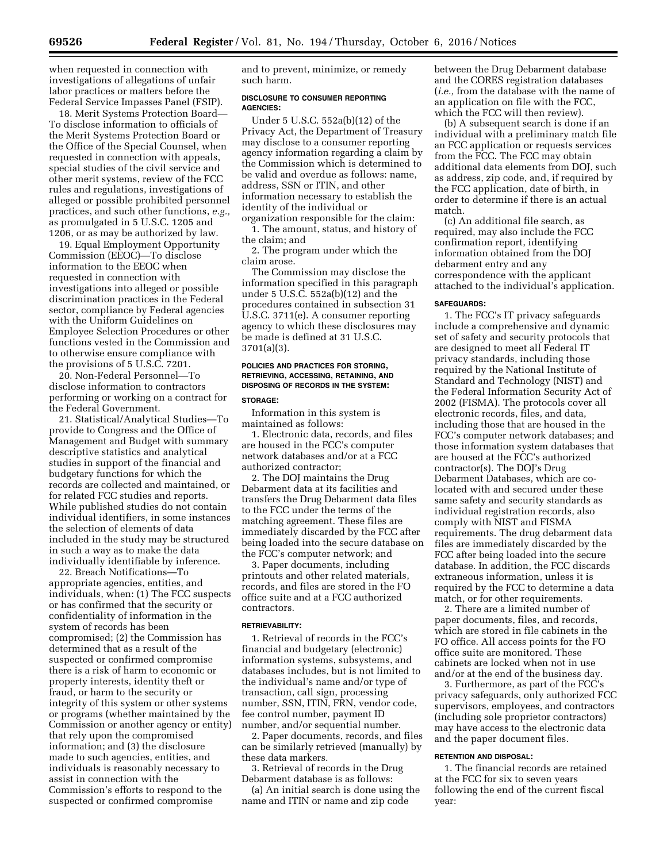when requested in connection with investigations of allegations of unfair labor practices or matters before the Federal Service Impasses Panel (FSIP).

18. Merit Systems Protection Board— To disclose information to officials of the Merit Systems Protection Board or the Office of the Special Counsel, when requested in connection with appeals, special studies of the civil service and other merit systems, review of the FCC rules and regulations, investigations of alleged or possible prohibited personnel practices, and such other functions, *e.g.,*  as promulgated in 5 U.S.C. 1205 and 1206, or as may be authorized by law.

19. Equal Employment Opportunity Commission (EEOC)—To disclose information to the EEOC when requested in connection with investigations into alleged or possible discrimination practices in the Federal sector, compliance by Federal agencies with the Uniform Guidelines on Employee Selection Procedures or other functions vested in the Commission and to otherwise ensure compliance with the provisions of 5 U.S.C. 7201.

20. Non-Federal Personnel—To disclose information to contractors performing or working on a contract for the Federal Government.

21. Statistical/Analytical Studies—To provide to Congress and the Office of Management and Budget with summary descriptive statistics and analytical studies in support of the financial and budgetary functions for which the records are collected and maintained, or for related FCC studies and reports. While published studies do not contain individual identifiers, in some instances the selection of elements of data included in the study may be structured in such a way as to make the data individually identifiable by inference.

22. Breach Notifications—To appropriate agencies, entities, and individuals, when: (1) The FCC suspects or has confirmed that the security or confidentiality of information in the system of records has been compromised; (2) the Commission has determined that as a result of the suspected or confirmed compromise there is a risk of harm to economic or property interests, identity theft or fraud, or harm to the security or integrity of this system or other systems or programs (whether maintained by the Commission or another agency or entity) that rely upon the compromised information; and (3) the disclosure made to such agencies, entities, and individuals is reasonably necessary to assist in connection with the Commission's efforts to respond to the suspected or confirmed compromise

and to prevent, minimize, or remedy such harm.

## **DISCLOSURE TO CONSUMER REPORTING AGENCIES:**

Under 5 U.S.C. 552a(b)(12) of the Privacy Act, the Department of Treasury may disclose to a consumer reporting agency information regarding a claim by the Commission which is determined to be valid and overdue as follows: name, address, SSN or ITIN, and other information necessary to establish the identity of the individual or organization responsible for the claim:

1. The amount, status, and history of the claim; and

2. The program under which the claim arose.

The Commission may disclose the information specified in this paragraph under 5 U.S.C. 552a(b)(12) and the procedures contained in subsection 31 U.S.C. 3711(e). A consumer reporting agency to which these disclosures may be made is defined at 31 U.S.C. 3701(a)(3).

## **POLICIES AND PRACTICES FOR STORING, RETRIEVING, ACCESSING, RETAINING, AND DISPOSING OF RECORDS IN THE SYSTEM:**

#### **STORAGE:**

Information in this system is maintained as follows:

1. Electronic data, records, and files are housed in the FCC's computer network databases and/or at a FCC authorized contractor;

2. The DOJ maintains the Drug Debarment data at its facilities and transfers the Drug Debarment data files to the FCC under the terms of the matching agreement. These files are immediately discarded by the FCC after being loaded into the secure database on the FCC's computer network; and

3. Paper documents, including printouts and other related materials, records, and files are stored in the FO office suite and at a FCC authorized contractors.

#### **RETRIEVABILITY:**

1. Retrieval of records in the FCC's financial and budgetary (electronic) information systems, subsystems, and databases includes, but is not limited to the individual's name and/or type of transaction, call sign, processing number, SSN, ITIN, FRN, vendor code, fee control number, payment ID number, and/or sequential number.

2. Paper documents, records, and files can be similarly retrieved (manually) by these data markers.

3. Retrieval of records in the Drug Debarment database is as follows:

(a) An initial search is done using the name and ITIN or name and zip code

between the Drug Debarment database and the CORES registration databases (*i.e.,* from the database with the name of an application on file with the FCC, which the FCC will then review).

(b) A subsequent search is done if an individual with a preliminary match file an FCC application or requests services from the FCC. The FCC may obtain additional data elements from DOJ, such as address, zip code, and, if required by the FCC application, date of birth, in order to determine if there is an actual match.

(c) An additional file search, as required, may also include the FCC confirmation report, identifying information obtained from the DOJ debarment entry and any correspondence with the applicant attached to the individual's application.

#### **SAFEGUARDS:**

1. The FCC's IT privacy safeguards include a comprehensive and dynamic set of safety and security protocols that are designed to meet all Federal IT privacy standards, including those required by the National Institute of Standard and Technology (NIST) and the Federal Information Security Act of 2002 (FISMA). The protocols cover all electronic records, files, and data, including those that are housed in the FCC's computer network databases; and those information system databases that are housed at the FCC's authorized contractor(s). The DOJ's Drug Debarment Databases, which are colocated with and secured under these same safety and security standards as individual registration records, also comply with NIST and FISMA requirements. The drug debarment data files are immediately discarded by the FCC after being loaded into the secure database. In addition, the FCC discards extraneous information, unless it is required by the FCC to determine a data match, or for other requirements.

2. There are a limited number of paper documents, files, and records, which are stored in file cabinets in the FO office. All access points for the FO office suite are monitored. These cabinets are locked when not in use and/or at the end of the business day.

3. Furthermore, as part of the FCC's privacy safeguards, only authorized FCC supervisors, employees, and contractors (including sole proprietor contractors) may have access to the electronic data and the paper document files.

#### **RETENTION AND DISPOSAL:**

1. The financial records are retained at the FCC for six to seven years following the end of the current fiscal year: